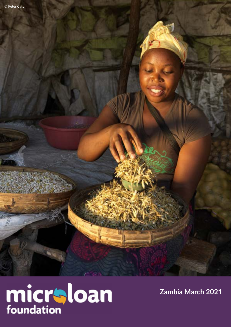$\tilde{\alpha}$ 



**Zambia March 2021**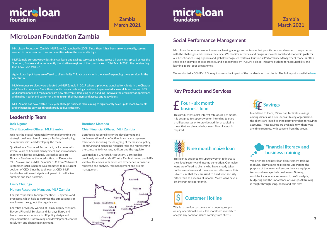

# **MicroLoan Foundation Zambia**

### **Leadership Team**

### **Jack Ngoma**

### **Chief Executive Officer, MLF Zambia**

Jack has the overall responsibility for implementing the strategic business plan of the organisation, developing new partnerships and developing the team.

Qualified as a Chartered Accountant, Jack comes with several years of financial management and microfinance experience, having previously worked at Bayport Financial Services as the interim Head of Finance for MLF Malawi, and as MLF Zambia's CFO from 2014 until September 2018, when he was promoted to his current position of CEO. Since he took over as CEO, MLF Zambia has witnessed significant growth in both client numbers and loan portfolio.

MicroLoan Foundation works towards achieving a long-term outcome that permits poor rural women to cope better with the challenges and stresses they face. We monitor activities and progress towards social and economic goals for our beneficiaries using rigorous and globally recognised systems. Our Social Performance Management model is often cited as an example of best practice, and is recognised by TrueLift, a global initiative pushing for accountability and learning in pro-poor programmes.

We conducted a COVID-19 Survey to assess the impact of the pandemic on our clients. The full report is available [her](https://www.microloanfoundation.org.uk/wp-content/uploads/2020/10/COVID-19-analysis_Zambia_FINAL.pdf)e.

# **Social Performance Management**

micraloan

foundation

### **Bornface Matanda**

### **Chief Financial Officer, MLF Zambia**

Bornface is responsible for the development and implementation of an effective financial management framework, including the designing of the financial policy, identifying and managing financial risks and representing the company to investors, auditors and the regulator.

Qualified as a Chartered Accountant, Bornface has previously worked at MultiChoice Zambia Limited and MTN Zambia. He comes with extensive experience in financial reporting and analysis, risk management and project management.

We offer pre and post loan disbursement training modules. They aim to help clients understand the purpose of the loans and ensure they are equipped to run and manage their businesses. Training modules include: market research, profit analysis, budgeting and the importance of savings. All training is taught through song, dance and role play.

# micraloan foundation

**Zambia March 2021**

# **Four - six month business loan**<br>**Business loan**

MicroLoan Foundation Zambia (MLF Zambia) launched in 2008. Since then, it has been growing steadily, serving women in under reached rural communities where the demand is high.

MLF Zambia currently provides financial loans and savings services to clients across 14 branches, spread across the Southern, Eastern and more recently the Northern regions of the country. As of 31st March 2021, the outstanding loan book is \$1,213,270

Agricultural input loans are offered to clients in its Chipata branch with the aim of expanding these services in the near future.

Mobile money services were adopted by MLF Zambia in 2017 where a pilot was launched for clients in the Chipata and Petauke branches. Since then, mobile money technology has been implemented across all branches and 90% of disbursements and repayments are now electronic. Reducing cash handling improves the efficiency of operations and makes it safer and easier for clients to run their business and access and repay loans.

MLF Zambia has now crafted its 5-year strategic business plan, aiming to significantly scale up its reach to clients and enhance its services through product diversification.

## **Key Products and Services**



This is to provide customers with ongoing support on any operational issues. It is monitored monthly to analyse any common issues coming from clients.

# **Financial literacy and business training**

This product has a flat interest rate of 6% per month. It is designed to support women intending to start small businesses or to provide additional capital to those that are already in business. No collateral is required.

In addition to loans, MicroLoan facilitates savings among clients. As a non-deposit taking organisation, the clients are linked to third party providers for savings accounts. These savings are available to withdraw at any time required, with consent from the group.

This loan is designed to support women to increase their food security and income generation. Our maize loans are offered to clients who have already taken out business loans and run a successful business. This is to ensure that they are used to build food security rather than as a means of income. Maize loans have a 5% interest rate per month.



### **Emily Chuunga**

### **Human Resources Manager, MLF Zambia**

Emily is responsible for implementing HR systems and processes, which help to optimise the effectiveness of employees throughout the organisation.

Emily has previously worked at Family Legacy Missions, Bayport Financial Services and Barclays Bank, and has extensive experience in HR policy design and implementation, staff training and development, conflict resolution and change management.

# **Zambia March 2021**